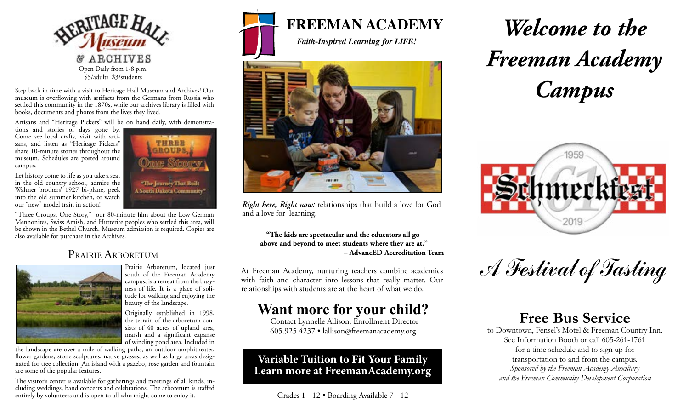

Step back in time with a visit to Heritage Hall Museum and Archives! Our museum is overflowing with artifacts from the Germans from Russia who settled this community in the 1870s, while our archives library is filled with books, documents and photos from the lives they lived.

Artisans and "Heritage Pickers" will be on hand daily, with demonstra-

tions and stories of days gone by. Come see local crafts, visit with artisans, and listen as "Heritage Pickers" share 10-minute stories throughout the museum. Schedules are posted around campus.

Let history come to life as you take a seat in the old country school, admire the Waltner brothers' 1927 bi-plane, peek into the old summer kitchen, or watch our "new" model train in action!



"Three Groups, One Story," our 80-minute film about the Low German Mennonites, Swiss Amish, and Hutterite peoples who settled this area, will be shown in the Bethel Church. Museum admission is required. Copies are also available for purchase in the Archives.

## PRAIRIE ARBORETUM



Prairie Arboretum, located just south of the Freeman Academy campus, is a retreat from the busyness of life. It is a place of solitude for walking and enjoying the beauty of the landscape.

Originally established in 1998, the terrain of the arboretum consists of 40 acres of upland area, marsh and a significant expanse of winding pond area. Included in

the landscape are over a mile of walking paths, an outdoor amphitheater, flower gardens, stone sculptures, native grasses, as well as large areas designated for tree collection. An island with a gazebo, rose garden and fountain are some of the popular features.

The visitor's center is available for gatherings and meetings of all kinds, including weddings, band concerts and celebrations. The arboretum is staffed entirely by volunteers and is open to all who might come to enjoy it.



*Faith-Inspired Learning for LIFE!*



*Right here, Right now:* relationships that build a love for God and a love for learning.

**"The kids are spectacular and the educators all go above and beyond to meet students where they are at." – AdvancED Accreditation Team**

At Freeman Academy, nurturing teachers combine academics with faith and character into lessons that really matter. Our relationships with students are at the heart of what we do.

# **Want more for your child?**

Contact Lynnelle Allison, Enrollment Director 605.925.4237 • lallison@freemanacademy.org

## **Variable Tuition to Fit Your Family Learn more at FreemanAcademy.org**

Grades 1 - 12 • Boarding Available 7 - 12

# *Welcome to the Freeman Academy Campus*



A Festival of Tasting

## **Free Bus Service**

to Downtown, Fensel's Motel & Freeman Country Inn. See Information Booth or call 605-261-1761 for a time schedule and to sign up for transportation to and from the campus. *Sponsored by the Freeman Academy Auxiliary and the Freeman Community Development Corporation*